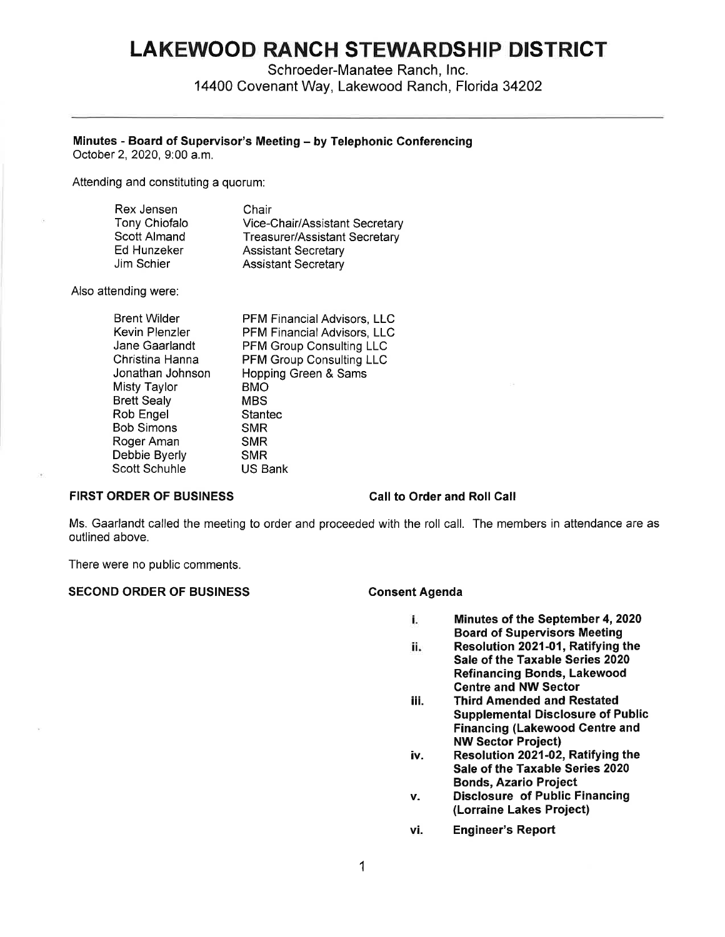# **LAKEWOOD RANCH STEWARDSHIP DISTRICT**

Schroeder-Manatee Ranch, Inc. 14400 Covenant Way, Lakewood Ranch, Florida 34202

### **Minutes** - **Board of Supervisor's Meeting** - **by Telephonic Conferencing**

October 2, 2020, 9:00 a.m.

Attending and constituting a quorum:

| Rex Jensen           | Chair                                |
|----------------------|--------------------------------------|
| <b>Tony Chiofalo</b> | Vice-Chair/Assistant Secretary       |
| Scott Almand         | <b>Treasurer/Assistant Secretary</b> |
| Ed Hunzeker          | <b>Assistant Secretary</b>           |
| Jim Schier           | <b>Assistant Secretary</b>           |

Also attending were:

| <b>Brent Wilder</b> | PFM Financial Advisors, LLC     |
|---------------------|---------------------------------|
| Kevin Plenzler      | PFM Financial Advisors, LLC     |
| Jane Gaarlandt      | <b>PFM Group Consulting LLC</b> |
| Christina Hanna     | <b>PFM Group Consulting LLC</b> |
| Jonathan Johnson    | Hopping Green & Sams            |
| Misty Taylor        | <b>BMO</b>                      |
| <b>Brett Sealy</b>  | MBS                             |
| Rob Engel           | <b>Stantec</b>                  |
| Bob Simons          | <b>SMR</b>                      |
| Roger Aman          | <b>SMR</b>                      |
| Debbie Byerly       | <b>SMR</b>                      |
| Scott Schuhle       | <b>US Bank</b>                  |
|                     |                                 |

### **FIRST ORDER OF BUSINESS**

### **Call to Order and Roll Call**

Ms. Gaarlandt called the meeting to order and proceeded with the roll call. The members in attendance are as outlined above.

There were no public comments.

### SECOND ORDER OF BUSINESS Consent Agenda

- i. **Minutes of the September 4, 2020 Board of Supervisors Meeting**
- ii. **Resolution 2021-01, Ratifying the Sale of the Taxable Series 2020 Refinancing Bonds, Lakewood Centre and NW Sector**
- iii. **Third Amended and Restated Supplemental Disclosure of Public Financing (Lakewood Centre and NW Sector Project)**
- **iv. Resolution 2021-02, Ratifying the Sale of the Taxable Series 2020 Bonds, Azario Project**
- **v. Disclosure of Public Financing (Lorraine Lakes Project)**
- **vi. Engineer's Report**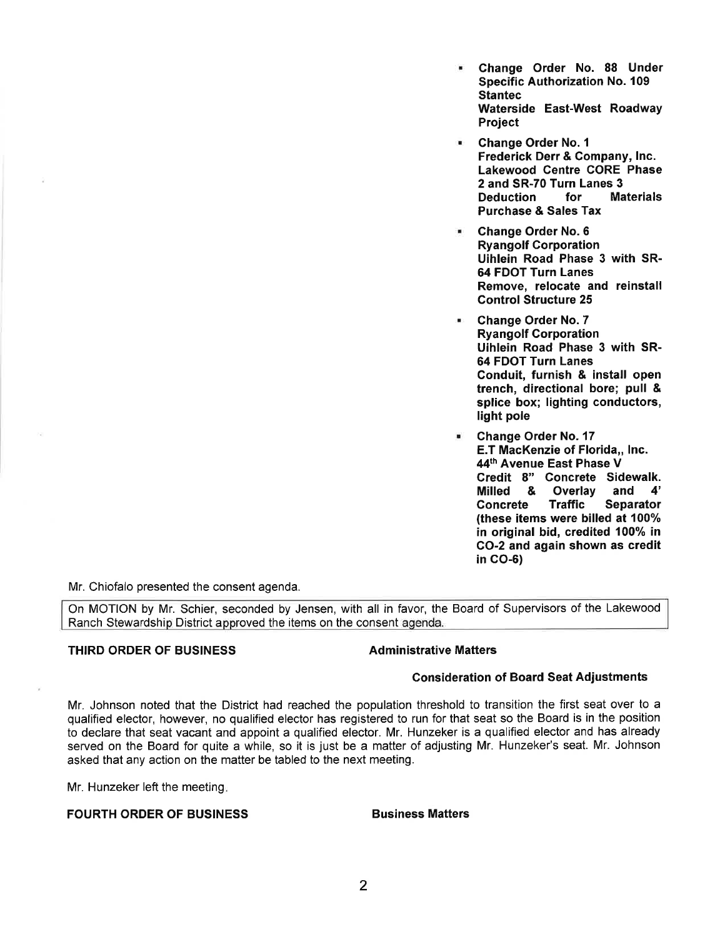- **Change Order No. 88 Under Specific Authorization No. 109 Stantec Waterside East-West Roadway Project**
- **Change Order No. 1 Frederick Derr** & **Company, Inc. Lakewood Centre CORE Phase 2 and SR-70 Turn Lanes 3 Deduction for Materials Purchase** & **Sales Tax**
- **Change Order No. 6 Ryangolf Corporation Uihlein Road Phase 3 with SR-64 FDOT Turn Lanes Remove, relocate and reinstall Control Structure 25**
- **Change Order No. 7 Ryangolf Corporation Uihlein Road Phase 3 with SR-64 FDOT Turn Lanes Conduit, furnish** & **install open trench, directional bore; pull** & **splice box; lighting conductors, light pole**
- **Change Order No. 17 E.T MacKenzie of Florida,, Inc. 44th Avenue East Phase V Credit 8" Concrete Sidewalk. Milled** & **Overlay and 4' Concrete Traffic Separator (these items were billed at 100% in original bid, credited 100% in CO-2 and again shown as credit in CO-6)**

Mr. Chiofalo presented the consent agenda.

On MOTION by Mr. Schier, seconded by Jensen, with all in favor, the Board of Supervisors of the Lakewood Ranch Stewardship District approved the items on the consent agenda.

### **THIRD ORDER OF BUSINESS Administrative Matters**

### **Consideration of Board Seat Adjustments**

Mr. Johnson noted that the District had reached the population threshold to transition the first seat over to a qualified elector, however, no qualified elector has registered to run for that seat so the Board is in the position to declare that seat vacant and appoint a qualified elector. Mr. Hunzeker is a qualified elector and has already served on the Board for quite a while, so it is just be a matter of adjusting Mr. Hunzeker's seat. Mr. Johnson asked that any action on the matter be tabled to the next meeting.

Mr. Hunzeker left the meeting.

### **FOURTH ORDER OF BUSINESS BUSINESS Business Matters**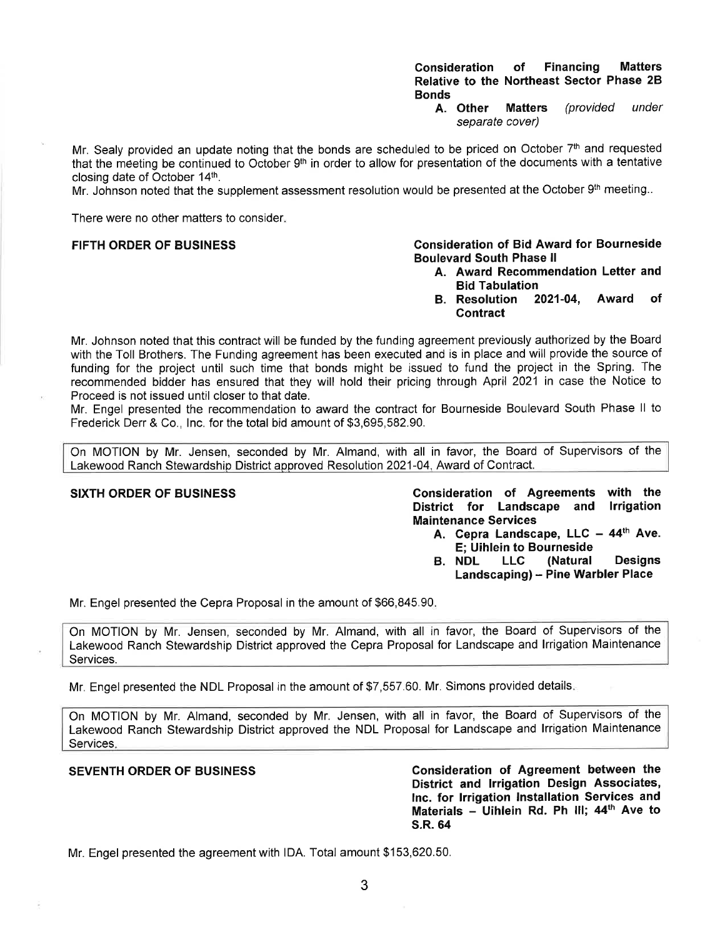### **Consideration of Financing Matters Relative to the Northeast Sector Phase 2B Bonds**

**A. Other Matters** (provided under separate cover)

Mr. Sealy provided an update noting that the bonds are scheduled to be priced on October 7<sup>th</sup> and requested that the meeting be continued to October 9<sup>th</sup> in order to allow for presentation of the documents with a tentative closing date of October 14th.

Mr. Johnson noted that the supplement assessment resolution would be presented at the October 9th meeting..

There were no other matters to consider.

### **FIFTH ORDER OF BUSINESS**

### **Boulevard South Phase II Consideration of Bid Award for Bourneside**

- **A. Award Recommendatio n Letter and Bid Tabulation**
- **B. Resolution 2021-04, Contract Award of**

Mr. Johnson noted that this contract will be funded by the funding agreement previously authorized by the Board with the Toll Brothers. The Funding agreement has been executed and is in place and will provide the source of funding for the project until such time that bonds might be issued to fund the project in the Spring. The recommended bidder has ensured that they will hold their pricing through April 2021 in case the Notice to Proceed is not issued until closer to that date.

Mr. Engel presented the recommendation to award the contract for Bourneside Boulevard South Phase II to Frederick Derr & Co., Inc. for the total bid amount of \$[3,695,582.](https://3,695,582.90)90.

On MOTION by Mr. Jensen, seconded by Mr. Almand, with all in favor, the Board of Supervisors of the Lakewood Ranch Stewardship District approved Resolution 2021-04, Award of Contract.

**SIXTH ORDER OF BUSINESS Consideration of Agreements with the District for Landscape and Irrigation Maintenance Services** 

- **<sup>44</sup>th A. Cepra Landscape, LLC - Ave. E; Uihlein to Bourneside**
- **B. NDL LLC (Natural Designs Landscaping) - Pine Warbler Place**

Mr. Engel presented the Cepra Proposal in the amount of \$[66,845.](https://66,845.90)90.

On MOTION by Mr. Jensen, seconded by Mr. Almand, with all in favor, the Board of Supervisors of the Lakewood Ranch Stewardship District approved the Cepra Proposal for Landscape and Irrigation Maintenance Services.

Mr. Engel presented the NDL Proposal in the amount of \$[7,557.](https://7,557.60)60. Mr. Simons provided details.

On MOTION by Mr. Almand, seconded by Mr. Jensen, with all in favor, the Board of Supervisors of the Lakewood Ranch Stewardship District approved the NDL Proposal for Landscape and Irrigation Maintenance Services.

**SEVENTH ORDER OF BUSINESS Consideration of Agreement between the District and Irrigation Design Associates, Inc. for Irrigation Installation Services and Materials - Uihlein Rd. Ph Ill; 44th Ave to S.R. 64** 

Mr. Engel presented the agreement with IDA. Total amount \$[153,620.50](https://153,620.50).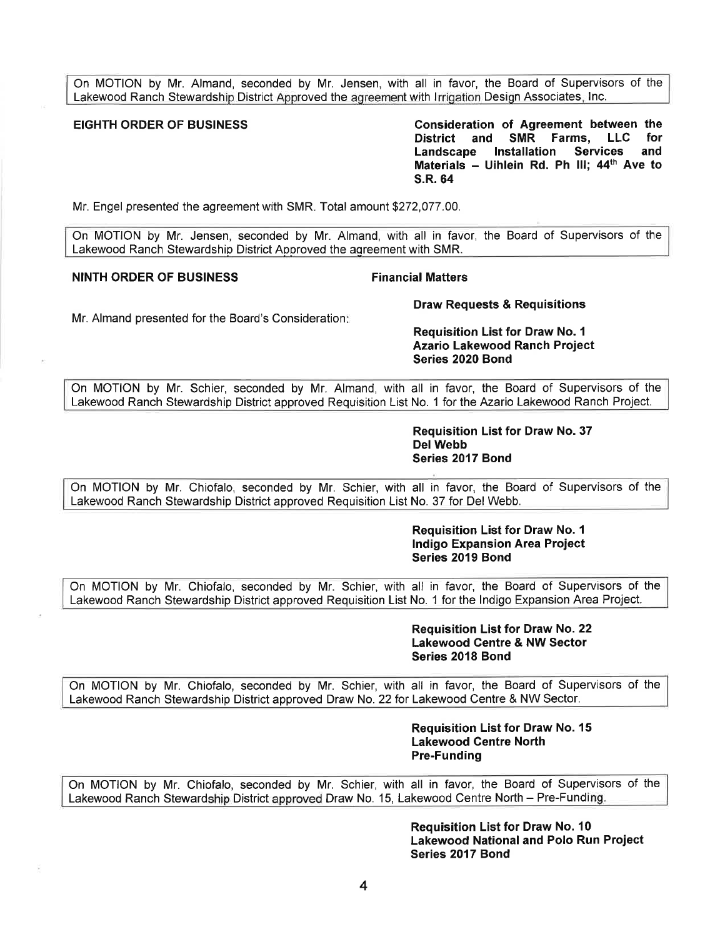On MOTION by Mr. Almand, seconded by Mr. Jensen, with all in favor, the Board of Supervisors of the Lakewood Ranch Stewardship District Approved the agreement with Irrigation Design Associates, Inc.

**EIGHTH ORDER OF BUSINESS Consideration of Agreement between the District and SMR Farms, LLC for Landscape Installation Services and Materials - Uihlein Rd. Ph Ill; 44th Ave to S.R. 64** 

Mr. Engel presented the agreement with SMR. Total amount [\\$272,077.00](https://272,077.00).

On MOTION by Mr. Jensen, seconded by Mr. Almand, with all in favor, the Board of Supervisors of the Lakewood Ranch Stewardship District Approved the agreement with SMR.

### **NINTH ORDER OF BUSINESS FINALLY RESISTING FINANCIAL Matters**

Mr. Almand presented for the Board's Consideration:

### **Draw Requests & Requisitions**

### **Requisition List for Draw No. 1 Azario Lakewood Ranch Project Series 2020 Bond**

On MOTION by Mr. Schier, seconded by Mr. Almand, with all in favor, the Board of Supervisors of the Lakewood Ranch Stewardship District approved Requisition List No. 1 for the Azario Lakewood Ranch Project.

> **Requisition List for Draw No. 37 Del Webb Series 2017 Bond**

On MOTION by Mr. Chiofalo, seconded by Mr. Schier, with all in favor, the Board of Supervisors of the Lakewood Ranch Stewardship District approved Requisition List No. 37 for Del Webb.

> **Requisition List for Draw No. 1 Indigo Expansion Area Project Series 2019 Bond**

On MOTION by Mr. Chiofalo, seconded by Mr. Schier, with all in favor, the Board of Supervisors of the Lakewood Ranch Stewardship District approved Requisition List No. 1 for the Indigo Expansion Area Project.

> **Requisition List for Draw No. 22 Lakewood Centre & NW Sector Series 2018 Bond**

On MOTION by Mr. Chiofalo, seconded by Mr. Schier, with all in favor, the Board of Supervisors of the Lakewood Ranch Stewardship District approved Draw No. 22 for Lakewood Centre & NW Sector.

> **Requisition List for Draw No. 15 Lakewood Centre North Pre-Funding**

On MOTION by Mr. Chiofalo, seconded by Mr. Schier, with all in favor, the Board of Supervisors of the Lakewood Ranch Stewardship District approved Draw No. 15, Lakewood Centre North - Pre-Funding.

> **Requisition List for Draw No. 10 Lakewood National and Polo Run Project Series 2017 Bond**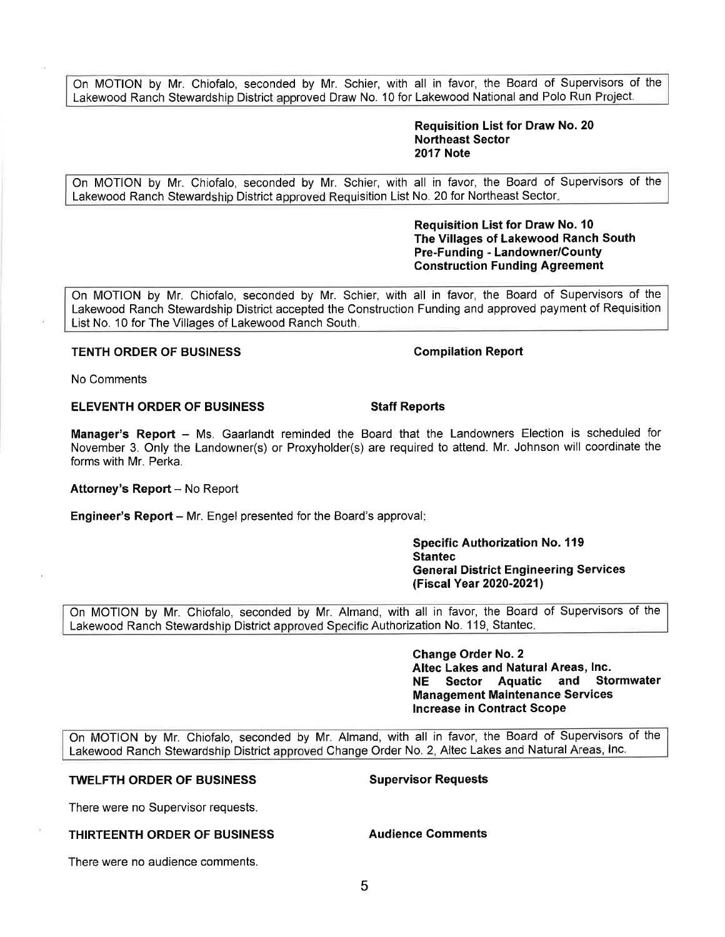On MOTION by Mr. Chiofalo, seconded by Mr. Schier, with all in favor, the Board of Supervisors of the Lakewood Ranch Stewardship District approved Draw No. 10 for Lakewood National and Polo Run Project.

### **Requisition List for Draw No. 20 Northeast Sector 2017 Note**

On MOTION by Mr. Chiofalo, seconded by Mr. Schier, with all in favor, the Board of Supervisors of the Lakewood Ranch Stewardship District approved Requisition List No. 20 for Northeast Sector.

> **Requisition List for Draw No. 10 The Villages of Lakewood Ranch South Pre-Funding - Landowner/County Construction Funding Agreement**

On MOTION by Mr. Chiofalo, seconded by Mr. Schier, with all in favor, the Board of Supervisors of the Lakewood Ranch Stewardship District accepted the Construction Funding and approved payment of Requisition List No. 10 for The Villages of Lakewood Ranch South.

## **TENTH ORDER OF BUSINESS** Compilation Report

No Comments

### **ELEVENTH ORDER OF BUSINESS STATES STAFF REPORTS**

Manager's Report - Ms. Gaarlandt reminded the Board that the Landowners Election is scheduled for November 3. Only the Landowner(s) or Proxyholder(s) are required to attend. Mr. Johnson will coordinate the forms with Mr. Perka.

**Attorney's Report - No Report** 

**Engineer's Report** – Mr. Engel presented for the Board's approval:

**Specific Authorization No. 119 Stantec General District Engineering Services (Fiscal Year 2020-2021)** 

On MOTION by Mr. Chiofalo, seconded by Mr. Almand, with all in favor, the Board of Supervisors of the Lakewood Ranch Stewardship District approved Specific Authorization No. 119, Stantec.

> **Change Order No. 2 Altec Lakes and Natural Areas, Inc. NE Sector Aquatic and Stormwater Management Maintenance Services Increase in Contract Scope**

On MOTION by Mr. Chiofalo, seconded by Mr. Almand, with all in favor, the Board of Supervisors of the Lakewood Ranch Stewardship District approved Change Order No. 2, Altec Lakes and Natural Areas, Inc.

5

### **TWELFTH ORDER OF BUSINESS SUPER SUPER SUPER SUPER SUPER SUPER SUPER SUPER SUPER SUPER SUPER SUPER SUPER SUPER SUPER SUPER SUPER SUPER SUPER SUPER SUPER SUPER SUPER SUPER SUPER SUPER SUPER SUPER SUPER SUPER SUPER SUPER SUP**

There were no Supervisor requests.

There were no audience comments.

### **THIRTEENTH ORDER OF BUSINESS Audience Comments**